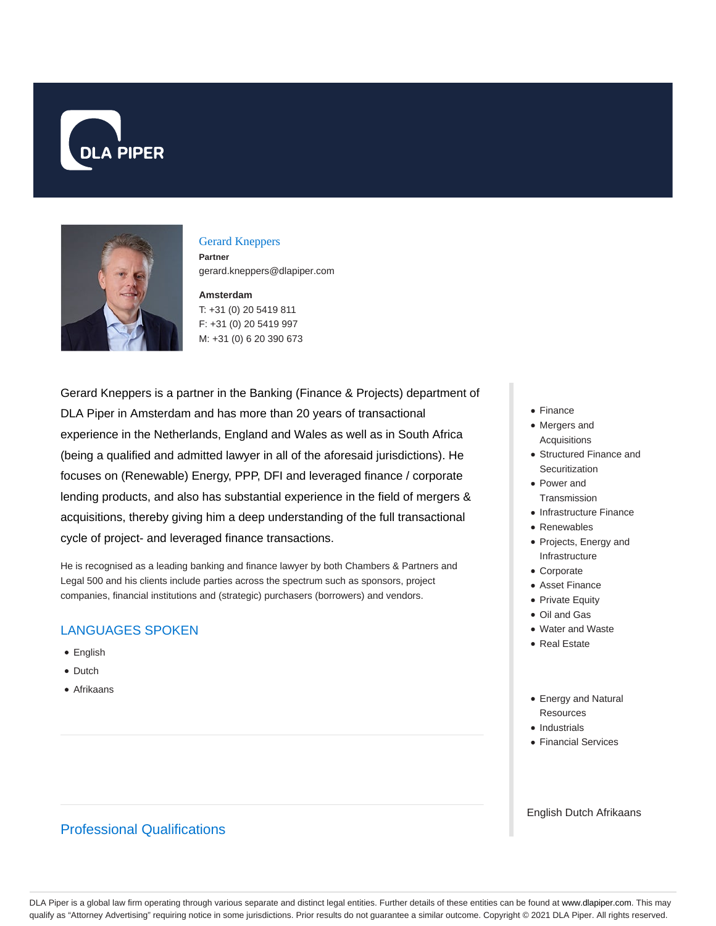



#### Gerard Kneppers

**Partner** gerard.kneppers@dlapiper.com

### **Amsterdam**

T: +31 (0) 20 5419 811 F: +31 (0) 20 5419 997 M: +31 (0) 6 20 390 673

Gerard Kneppers is a partner in the Banking (Finance & Projects) department of DLA Piper in Amsterdam and has more than 20 years of transactional experience in the Netherlands, England and Wales as well as in South Africa (being a qualified and admitted lawyer in all of the aforesaid jurisdictions). He focuses on (Renewable) Energy, PPP, DFI and leveraged finance / corporate lending products, and also has substantial experience in the field of mergers & acquisitions, thereby giving him a deep understanding of the full transactional cycle of project- and leveraged finance transactions.

He is recognised as a leading banking and finance lawyer by both Chambers & Partners and Legal 500 and his clients include parties across the spectrum such as sponsors, project companies, financial institutions and (strategic) purchasers (borrowers) and vendors.

## LANGUAGES SPOKEN

- English
- Dutch
- Afrikaans

# Professional Qualifications

- Finance
- Mergers and **Acquisitions**
- Structured Finance and **Securitization**
- Power and **Transmission**
- Infrastructure Finance
- Renewables
- Projects, Energy and Infrastructure
- Corporate
- Asset Finance
- Private Equity
- Oil and Gas
- Water and Waste
- Real Estate
- Energy and Natural **Resources**
- Industrials
- Financial Services

English Dutch Afrikaans

DLA Piper is a global law firm operating through various separate and distinct legal entities. Further details of these entities can be found at www.dlapiper.com. This may qualify as "Attorney Advertising" requiring notice in some jurisdictions. Prior results do not guarantee a similar outcome. Copyright © 2021 DLA Piper. All rights reserved.